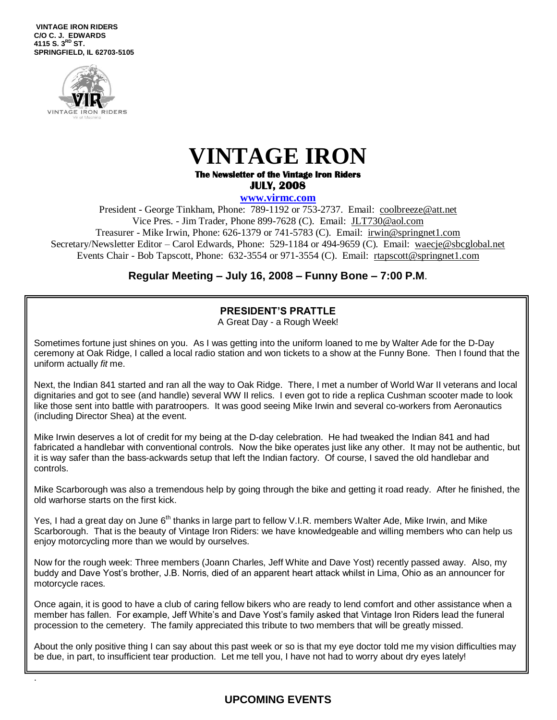**VINTAGE IRON RIDERS C/O C. J. EDWARDS 4115 S. 3 RD ST. SPRINGFIELD, IL 62703-5105**



.



**The Newsletter of the Vintage Iron Riders JULY, 2008** 

**www.virmc.com** 

President - George Tinkham, Phone: 789-1192 or 753-2737. Email: [coolbreeze@att.net](mailto:coolbreeze@att.net) Vice Pres. - Jim Trader, Phone 899-7628 (C). Email: [JLT730@aol.com](mailto:JLT730@aol.com) Treasurer - Mike Irwin, Phone: 626-1379 or 741-5783 (C). Email: irwin@springnet1.com Secretary/Newsletter Editor – Carol Edwards, Phone: 529-1184 or 494-9659 (C). Email: waecje@sbcglobal.net Events Chair - Bob Tapscott, Phone: 632-3554 or 971-3554 (C). Email: [rtapscott@springnet1.com](mailto:rtapscott@springnet1.com)

**Regular Meeting – July 16, 2008 – Funny Bone – 7:00 P.M**.

## **PRESIDENT'S PRATTLE**

A Great Day - a Rough Week!

Sometimes fortune just shines on you. As I was getting into the uniform loaned to me by Walter Ade for the D-Day ceremony at Oak Ridge, I called a local radio station and won tickets to a show at the Funny Bone. Then I found that the uniform actually *fit* me.

Next, the Indian 841 started and ran all the way to Oak Ridge. There, I met a number of World War II veterans and local dignitaries and got to see (and handle) several WW II relics. I even got to ride a replica Cushman scooter made to look like those sent into battle with paratroopers. It was good seeing Mike Irwin and several co-workers from Aeronautics (including Director Shea) at the event.

Mike Irwin deserves a lot of credit for my being at the D-day celebration. He had tweaked the Indian 841 and had fabricated a handlebar with conventional controls. Now the bike operates just like any other. It may not be authentic, but it is way safer than the bass-ackwards setup that left the Indian factory. Of course, I saved the old handlebar and controls.

Mike Scarborough was also a tremendous help by going through the bike and getting it road ready. After he finished, the old warhorse starts on the first kick.

Yes, I had a great day on June 6<sup>th</sup> thanks in large part to fellow V.I.R. members Walter Ade, Mike Irwin, and Mike Scarborough. That is the beauty of Vintage Iron Riders: we have knowledgeable and willing members who can help us enjoy motorcycling more than we would by ourselves.

Now for the rough week: Three members (Joann Charles, Jeff White and Dave Yost) recently passed away. Also, my buddy and Dave Yost's brother, J.B. Norris, died of an apparent heart attack whilst in Lima, Ohio as an announcer for motorcycle races.

Once again, it is good to have a club of caring fellow bikers who are ready to lend comfort and other assistance when a member has fallen. For example, Jeff White's and Dave Yost's family asked that Vintage Iron Riders lead the funeral procession to the cemetery. The family appreciated this tribute to two members that will be greatly missed.

About the only positive thing I can say about this past week or so is that my eye doctor told me my vision difficulties may be due, in part, to insufficient tear production. Let me tell you, I have not had to worry about dry eyes lately!

## **UPCOMING EVENTS**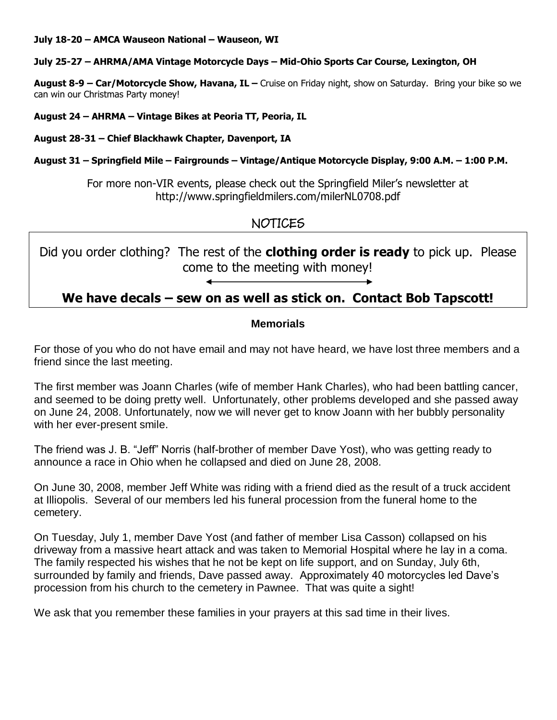#### **July 18-20 – AMCA Wauseon National – Wauseon, WI**

#### **July 25-27 – AHRMA/AMA Vintage Motorcycle Days – Mid-Ohio Sports Car Course, Lexington, OH**

**August 8-9 – Car/Motorcycle Show, Havana, IL –** Cruise on Friday night, show on Saturday. Bring your bike so we can win our Christmas Party money!

**August 24 – AHRMA – Vintage Bikes at Peoria TT, Peoria, IL**

**August 28-31 – Chief Blackhawk Chapter, Davenport, IA**

#### **August 31 – Springfield Mile – Fairgrounds – Vintage/Antique Motorcycle Display, 9:00 A.M. – 1:00 P.M.**

For more non-VIR events, please check out the Springfield Miler's newsletter at http://www.springfieldmilers.com/milerNL0708.pdf

## NOTICES

Did you order clothing? The rest of the **clothing order is ready** to pick up. Please come to the meeting with money!

## **We have decals – sew on as well as stick on. Contact Bob Tapscott!**

#### **Memorials**

For those of you who do not have email and may not have heard, we have lost three members and a friend since the last meeting.

The first member was Joann Charles (wife of member Hank Charles), who had been battling cancer, and seemed to be doing pretty well. Unfortunately, other problems developed and she passed away on June 24, 2008. Unfortunately, now we will never get to know Joann with her bubbly personality with her ever-present smile.

The friend was J. B. "Jeff" Norris (half-brother of member Dave Yost), who was getting ready to announce a race in Ohio when he collapsed and died on June 28, 2008.

On June 30, 2008, member Jeff White was riding with a friend died as the result of a truck accident at Illiopolis. Several of our members led his funeral procession from the funeral home to the cemetery.

On Tuesday, July 1, member Dave Yost (and father of member Lisa Casson) collapsed on his driveway from a massive heart attack and was taken to Memorial Hospital where he lay in a coma. The family respected his wishes that he not be kept on life support, and on Sunday, July 6th, surrounded by family and friends, Dave passed away. Approximately 40 motorcycles led Dave's procession from his church to the cemetery in Pawnee. That was quite a sight!

We ask that you remember these families in your prayers at this sad time in their lives.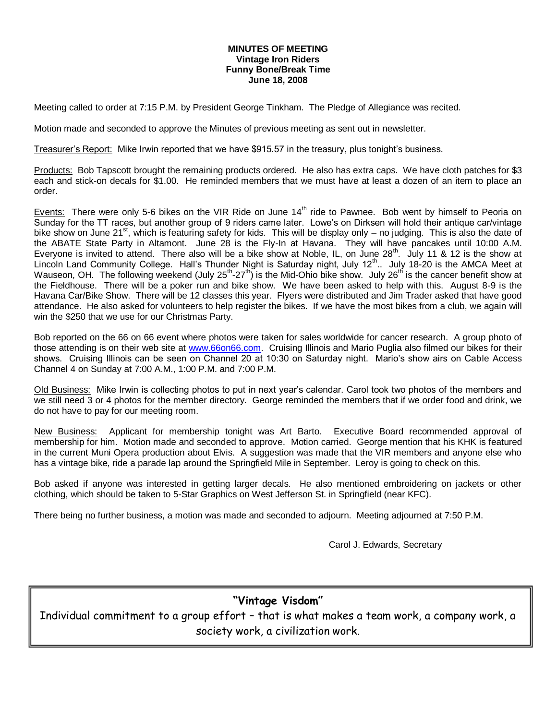#### **MINUTES OF MEETING Vintage Iron Riders Funny Bone/Break Time June 18, 2008**

Meeting called to order at 7:15 P.M. by President George Tinkham. The Pledge of Allegiance was recited.

Motion made and seconded to approve the Minutes of previous meeting as sent out in newsletter.

Treasurer's Report: Mike Irwin reported that we have \$915.57 in the treasury, plus tonight's business.

Products: Bob Tapscott brought the remaining products ordered. He also has extra caps. We have cloth patches for \$3 each and stick-on decals for \$1.00. He reminded members that we must have at least a dozen of an item to place an order.

Events: There were only 5-6 bikes on the VIR Ride on June 14<sup>th</sup> ride to Pawnee. Bob went by himself to Peoria on Sunday for the TT races, but another group of 9 riders came later. Lowe's on Dirksen will hold their antique car/vintage bike show on June 21<sup>st</sup>, which is featuring safety for kids. This will be display only – no judging. This is also the date of the ABATE State Party in Altamont. June 28 is the Fly-In at Havana. They will have pancakes until 10:00 A.M. Everyone is invited to attend. There also will be a bike show at Noble, IL, on June 28<sup>th</sup>. July 11 & 12 is the show at Lincoln Land Community College. Hall's Thunder Night is Saturday night, July 12<sup>th</sup>.. July 18-20 is the AMCA Meet at Wauseon, OH. The following weekend (July 25<sup>th</sup>-27<sup>th</sup>) is the Mid-Ohio bike show. July 26<sup>th</sup> is the cancer benefit show at the Fieldhouse. There will be a poker run and bike show. We have been asked to help with this. August 8-9 is the Havana Car/Bike Show. There will be 12 classes this year. Flyers were distributed and Jim Trader asked that have good attendance. He also asked for volunteers to help register the bikes. If we have the most bikes from a club, we again will win the \$250 that we use for our Christmas Party.

Bob reported on the 66 on 66 event where photos were taken for sales worldwide for cancer research. A group photo of those attending is on their web site at [www.66on66.com.](http://www.66on66.com/) Cruising Illinois and Mario Puglia also filmed our bikes for their shows. Cruising Illinois can be seen on Channel 20 at 10:30 on Saturday night. Mario's show airs on Cable Access Channel 4 on Sunday at 7:00 A.M., 1:00 P.M. and 7:00 P.M.

Old Business: Mike Irwin is collecting photos to put in next year's calendar. Carol took two photos of the members and we still need 3 or 4 photos for the member directory. George reminded the members that if we order food and drink, we do not have to pay for our meeting room.

New Business: Applicant for membership tonight was Art Barto. Executive Board recommended approval of membership for him. Motion made and seconded to approve. Motion carried. George mention that his KHK is featured in the current Muni Opera production about Elvis. A suggestion was made that the VIR members and anyone else who has a vintage bike, ride a parade lap around the Springfield Mile in September. Leroy is going to check on this.

Bob asked if anyone was interested in getting larger decals. He also mentioned embroidering on jackets or other clothing, which should be taken to 5-Star Graphics on West Jefferson St. in Springfield (near KFC).

There being no further business, a motion was made and seconded to adjourn. Meeting adjourned at 7:50 P.M.

Carol J. Edwards, Secretary

### **"Vintage Visdom"**

Individual commitment to a group effort – that is what makes a team work, a company work, a society work, a civilization work.